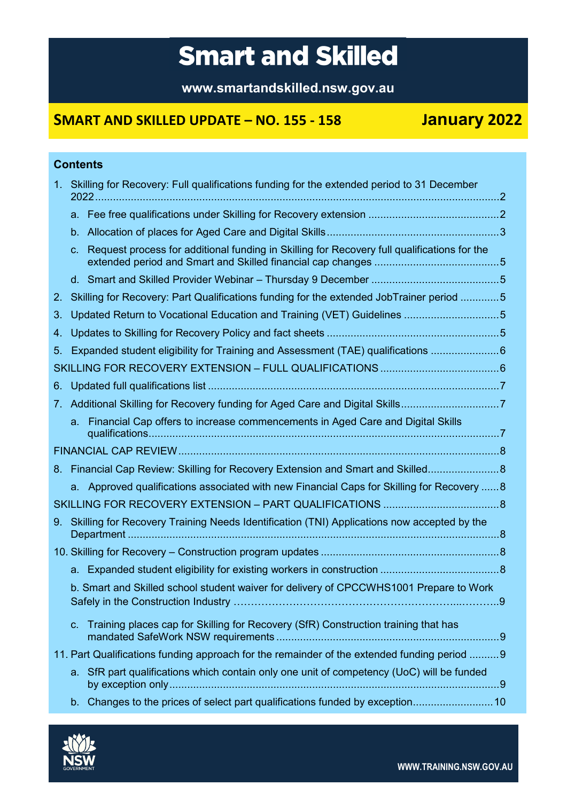# **Smart and Skilled**

**www.smartandskilled.nsw.gov.au**

## **SMART AND SKILLED UPDATE – NO. 155 - 158 January 2022**

### **Contents**

| 1 <sub>1</sub> |             | Skilling for Recovery: Full qualifications funding for the extended period to 31 December                                     |   |
|----------------|-------------|-------------------------------------------------------------------------------------------------------------------------------|---|
|                |             |                                                                                                                               |   |
|                | $b_{\cdot}$ |                                                                                                                               |   |
|                | C.          | Request process for additional funding in Skilling for Recovery full qualifications for the                                   |   |
|                |             |                                                                                                                               |   |
| 2.             |             | Skilling for Recovery: Part Qualifications funding for the extended JobTrainer period 5                                       |   |
| 3.             |             | Updated Return to Vocational Education and Training (VET) Guidelines 5                                                        |   |
| 4.             |             |                                                                                                                               |   |
| 5.             |             | Expanded student eligibility for Training and Assessment (TAE) qualifications 6                                               |   |
|                |             |                                                                                                                               |   |
| 6.             |             |                                                                                                                               |   |
|                |             |                                                                                                                               |   |
|                |             | a. Financial Cap offers to increase commencements in Aged Care and Digital Skills                                             |   |
|                |             |                                                                                                                               |   |
|                |             | 8. Financial Cap Review: Skilling for Recovery Extension and Smart and Skilled 8                                              |   |
|                |             | a. Approved qualifications associated with new Financial Caps for Skilling for Recovery  8                                    |   |
|                |             |                                                                                                                               |   |
| 9.             |             | Skilling for Recovery Training Needs Identification (TNI) Applications now accepted by the                                    |   |
|                |             |                                                                                                                               |   |
|                |             |                                                                                                                               |   |
|                |             | b. Smart and Skilled school student waiver for delivery of CPCCWHS1001 Prepare to Work<br>Safely in the Construction Industry | 9 |
|                | $C_{\cdot}$ | Training places cap for Skilling for Recovery (SfR) Construction training that has                                            |   |
|                |             | 11. Part Qualifications funding approach for the remainder of the extended funding period  9                                  |   |
|                |             | a. SfR part qualifications which contain only one unit of competency (UoC) will be funded                                     |   |
|                |             | b. Changes to the prices of select part qualifications funded by exception 10                                                 |   |

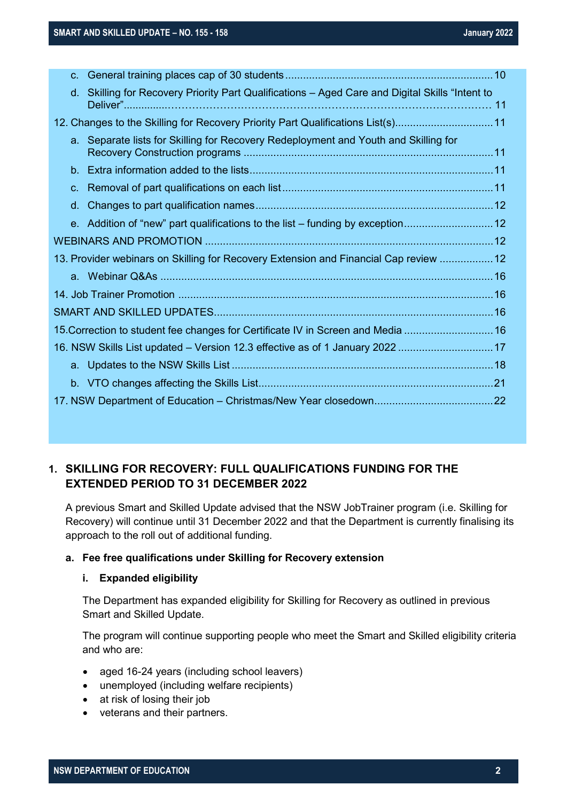| $C_{-}$ |                                                                                              |  |
|---------|----------------------------------------------------------------------------------------------|--|
| d.      | Skilling for Recovery Priority Part Qualifications - Aged Care and Digital Skills "Intent to |  |
|         | 12. Changes to the Skilling for Recovery Priority Part Qualifications List(s)11              |  |
|         | a. Separate lists for Skilling for Recovery Redeployment and Youth and Skilling for          |  |
|         |                                                                                              |  |
|         |                                                                                              |  |
| d.      |                                                                                              |  |
|         | e. Addition of "new" part qualifications to the list – funding by exception12                |  |
|         |                                                                                              |  |
|         | 13. Provider webinars on Skilling for Recovery Extension and Financial Cap review  12        |  |
|         |                                                                                              |  |
|         |                                                                                              |  |
|         |                                                                                              |  |
|         | 15. Correction to student fee changes for Certificate IV in Screen and Media  16             |  |
|         | 16. NSW Skills List updated - Version 12.3 effective as of 1 January 2022  17                |  |
|         |                                                                                              |  |
|         |                                                                                              |  |
|         |                                                                                              |  |

### <span id="page-1-0"></span>**1. SKILLING FOR RECOVERY: FULL QUALIFICATIONS FUNDING FOR THE EXTENDED PERIOD TO 31 DECEMBER 2022**

A previous Smart and Skilled Update advised that the NSW JobTrainer program (i.e. Skilling for Recovery) will continue until 31 December 2022 and that the Department is currently finalising its approach to the roll out of additional funding.

#### <span id="page-1-1"></span>**a. Fee free qualifications under Skilling for Recovery extension**

#### **i. Expanded eligibility**

The Department has expanded eligibility for Skilling for Recovery as outlined in previous Smart and Skilled Update.

The program will continue supporting people who meet the Smart and Skilled eligibility criteria and who are:

- aged 16-24 years (including school leavers)
- unemployed (including welfare recipients)
- at risk of losing their job
- veterans and their partners.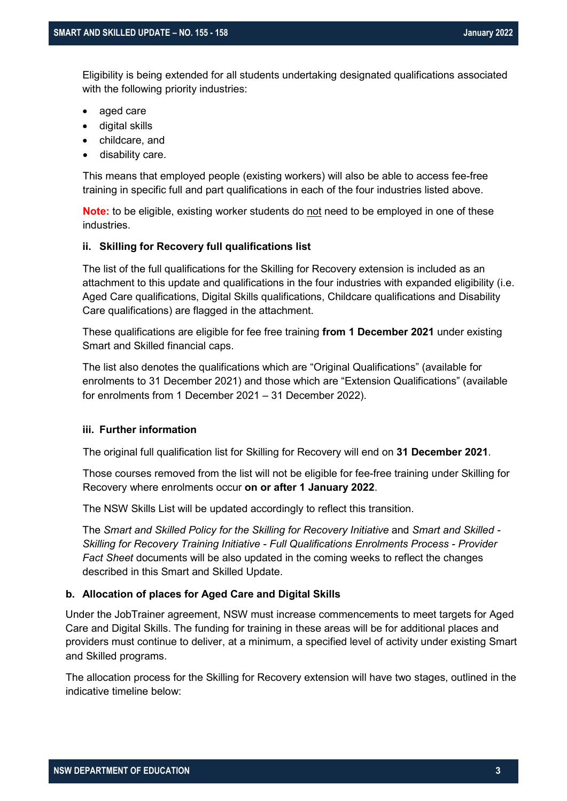Eligibility is being extended for all students undertaking designated qualifications associated with the following priority industries:

- aged care
- digital skills
- childcare, and
- disability care.

This means that employed people (existing workers) will also be able to access fee-free training in specific full and part qualifications in each of the four industries listed above.

**Note:** to be eligible, existing worker students do not need to be employed in one of these industries.

#### **ii. Skilling for Recovery full qualifications list**

The list of the full qualifications for the Skilling for Recovery extension is included as an attachment to this update and qualifications in the four industries with expanded eligibility (i.e. Aged Care qualifications, Digital Skills qualifications, Childcare qualifications and Disability Care qualifications) are flagged in the attachment.

These qualifications are eligible for fee free training **from 1 December 2021** under existing Smart and Skilled financial caps.

The list also denotes the qualifications which are "Original Qualifications" (available for enrolments to 31 December 2021) and those which are "Extension Qualifications" (available for enrolments from 1 December 2021 – 31 December 2022).

#### **iii. Further information**

The original full qualification list for Skilling for Recovery will end on **31 December 2021**.

Those courses removed from the list will not be eligible for fee-free training under Skilling for Recovery where enrolments occur **on or after 1 January 2022**.

The NSW Skills List will be updated accordingly to reflect this transition.

The *Smart and Skilled Policy for the Skilling for Recovery Initiative* and *Smart and Skilled - Skilling for Recovery Training Initiative - Full Qualifications Enrolments Process - Provider Fact Sheet* documents will be also updated in the coming weeks to reflect the changes described in this Smart and Skilled Update.

#### <span id="page-2-0"></span>**b. Allocation of places for Aged Care and Digital Skills**

Under the JobTrainer agreement, NSW must increase commencements to meet targets for Aged Care and Digital Skills. The funding for training in these areas will be for additional places and providers must continue to deliver, at a minimum, a specified level of activity under existing Smart and Skilled programs.

The allocation process for the Skilling for Recovery extension will have two stages, outlined in the indicative timeline below: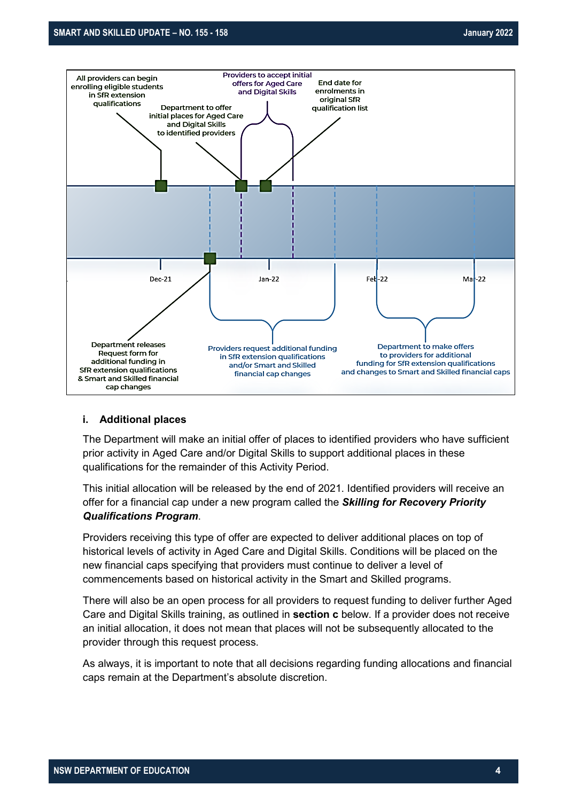

#### **i. Additional places**

The Department will make an initial offer of places to identified providers who have sufficient prior activity in Aged Care and/or Digital Skills to support additional places in these qualifications for the remainder of this Activity Period.

This initial allocation will be released by the end of 2021. Identified providers will receive an offer for a financial cap under a new program called the *Skilling for Recovery Priority Qualifications Program*.

Providers receiving this type of offer are expected to deliver additional places on top of historical levels of activity in Aged Care and Digital Skills. Conditions will be placed on the new financial caps specifying that providers must continue to deliver a level of commencements based on historical activity in the Smart and Skilled programs.

There will also be an open process for all providers to request funding to deliver further Aged Care and Digital Skills training, as outlined in **section c** below. If a provider does not receive an initial allocation, it does not mean that places will not be subsequently allocated to the provider through this request process.

As always, it is important to note that all decisions regarding funding allocations and financial caps remain at the Department's absolute discretion.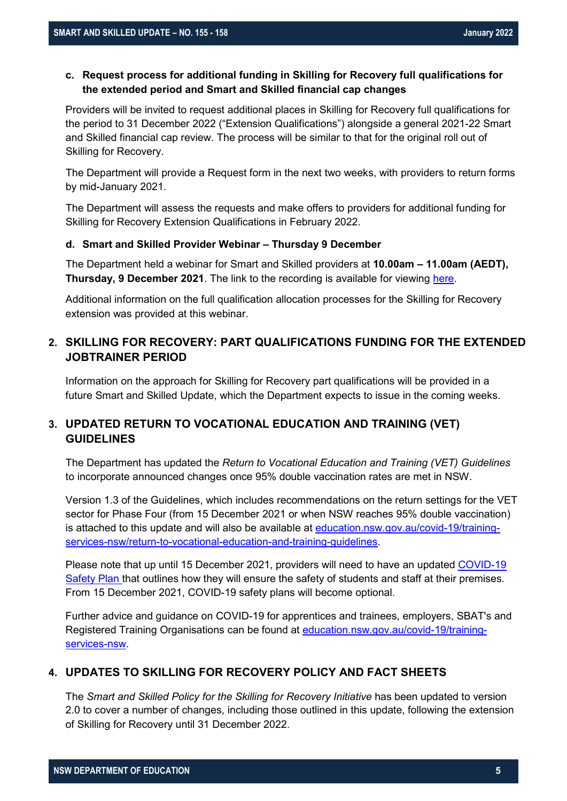#### <span id="page-4-0"></span>**c. Request process for additional funding in Skilling for Recovery full qualifications for the extended period and Smart and Skilled financial cap changes**

Providers will be invited to request additional places in Skilling for Recovery full qualifications for the period to 31 December 2022 ("Extension Qualifications") alongside a general 2021-22 Smart and Skilled financial cap review. The process will be similar to that for the original roll out of Skilling for Recovery.

The Department will provide a Request form in the next two weeks, with providers to return forms by mid-January 2021.

The Department will assess the requests and make offers to providers for additional funding for Skilling for Recovery Extension Qualifications in February 2022.

#### <span id="page-4-1"></span>**d. Smart and Skilled Provider Webinar – Thursday 9 December**

The Department held a webinar for Smart and Skilled providers at **10.00am – 11.00am (AEDT), Thursday, 9 December 2021**. The link to the recording is available for viewing [here.](https://www.training.nsw.gov.au/multimedia/videos/webinars/)

Additional information on the full qualification allocation processes for the Skilling for Recovery extension was provided at this webinar.

#### <span id="page-4-2"></span>**2. SKILLING FOR RECOVERY: PART QUALIFICATIONS FUNDING FOR THE EXTENDED JOBTRAINER PERIOD**

Information on the approach for Skilling for Recovery part qualifications will be provided in a future Smart and Skilled Update, which the Department expects to issue in the coming weeks.

#### <span id="page-4-3"></span>**3. UPDATED RETURN TO VOCATIONAL EDUCATION AND TRAINING (VET) GUIDELINES**

The Department has updated the *Return to Vocational Education and Training (VET) Guidelines* to incorporate announced changes once 95% double vaccination rates are met in NSW.

Version 1.3 of the Guidelines, which includes recommendations on the return settings for the VET sector for Phase Four (from 15 December 2021 or when NSW reaches 95% double vaccination) is attached to this update and will also be available at [education.nsw.gov.au/covid-19/training](https://education.nsw.gov.au/covid-19/training-services-nsw/return-to-vocational-education-and-training-guidelines)[services-nsw/return-to-vocational-education-and-training-guidelines.](https://education.nsw.gov.au/covid-19/training-services-nsw/return-to-vocational-education-and-training-guidelines)

Please note that up until 15 December 2021, providers will need to have an updated [COVID-19](https://www.nsw.gov.au/covid-19/covid-safe)  [Safety Plan t](https://www.nsw.gov.au/covid-19/covid-safe)hat outlines how they will ensure the safety of students and staff at their premises. From 15 December 2021, COVID-19 safety plans will become optional.

Further advice and guidance on COVID-19 for apprentices and trainees, employers, SBAT's and Registered Training Organisations can be found at [education.nsw.gov.au/covid-19/training](https://education.nsw.gov.au/covid-19/training-services-nsw)[services-nsw.](https://education.nsw.gov.au/covid-19/training-services-nsw)

#### **4. UPDATES TO SKILLING FOR RECOVERY POLICY AND FACT SHEETS**

The *Smart and Skilled Policy for the Skilling for Recovery Initiative* has been updated to version 2.0 to cover a number of changes, including those outlined in this update, following the extension of Skilling for Recovery until 31 December 2022.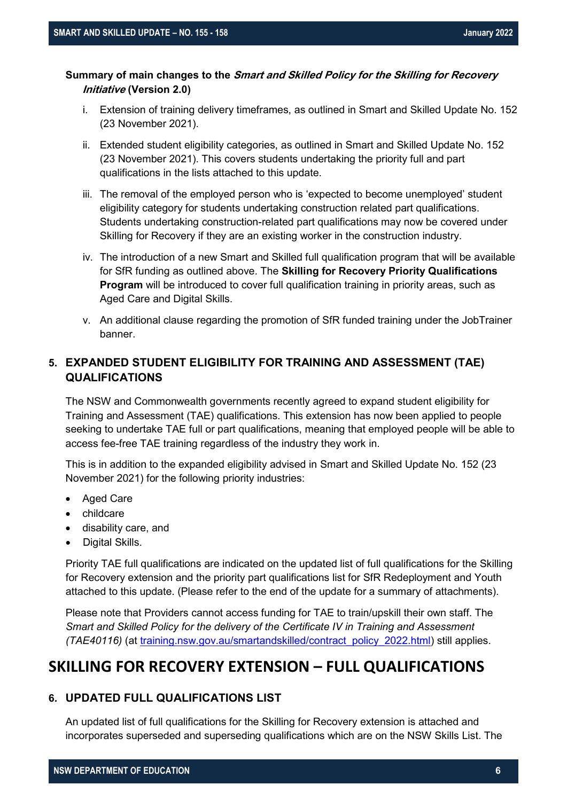#### **Summary of main changes to the Smart and Skilled Policy for the Skilling for Recovery Initiative (Version 2.0)**

- i. Extension of training delivery timeframes, as outlined in Smart and Skilled Update No. 152 (23 November 2021).
- ii. Extended student eligibility categories, as outlined in Smart and Skilled Update No. 152 (23 November 2021). This covers students undertaking the priority full and part qualifications in the lists attached to this update.
- iii. The removal of the employed person who is 'expected to become unemployed' student eligibility category for students undertaking construction related part qualifications. Students undertaking construction-related part qualifications may now be covered under Skilling for Recovery if they are an existing worker in the construction industry.
- iv. The introduction of a new Smart and Skilled full qualification program that will be available for SfR funding as outlined above. The **Skilling for Recovery Priority Qualifications Program** will be introduced to cover full qualification training in priority areas, such as Aged Care and Digital Skills.
- v. An additional clause regarding the promotion of SfR funded training under the JobTrainer banner.

#### **5. EXPANDED STUDENT ELIGIBILITY FOR TRAINING AND ASSESSMENT (TAE) QUALIFICATIONS**

The NSW and Commonwealth governments recently agreed to expand student eligibility for Training and Assessment (TAE) qualifications. This extension has now been applied to people seeking to undertake TAE full or part qualifications, meaning that employed people will be able to access fee-free TAE training regardless of the industry they work in.

This is in addition to the expanded eligibility advised in Smart and Skilled Update No. 152 (23 November 2021) for the following priority industries:

- **Aged Care**
- childcare
- disability care, and
- Digital Skills.

Priority TAE full qualifications are indicated on the updated list of full qualifications for the Skilling for Recovery extension and the priority part qualifications list for SfR Redeployment and Youth attached to this update. (Please refer to the end of the update for a summary of attachments).

Please note that Providers cannot access funding for TAE to train/upskill their own staff. The *Smart and Skilled Policy for the delivery of the Certificate IV in Training and Assessment (TAE40116)* (at [training.nsw.gov.au/smartandskilled/contract\\_policy\\_2022.html\)](https://www.training.nsw.gov.au/smartandskilled/contract_policy_2022.html) still applies.

### **SKILLING FOR RECOVERY EXTENSION – FULL QUALIFICATIONS**

#### **6. UPDATED FULL QUALIFICATIONS LIST**

An updated list of full qualifications for the Skilling for Recovery extension is attached and incorporates superseded and superseding qualifications which are on the NSW Skills List. The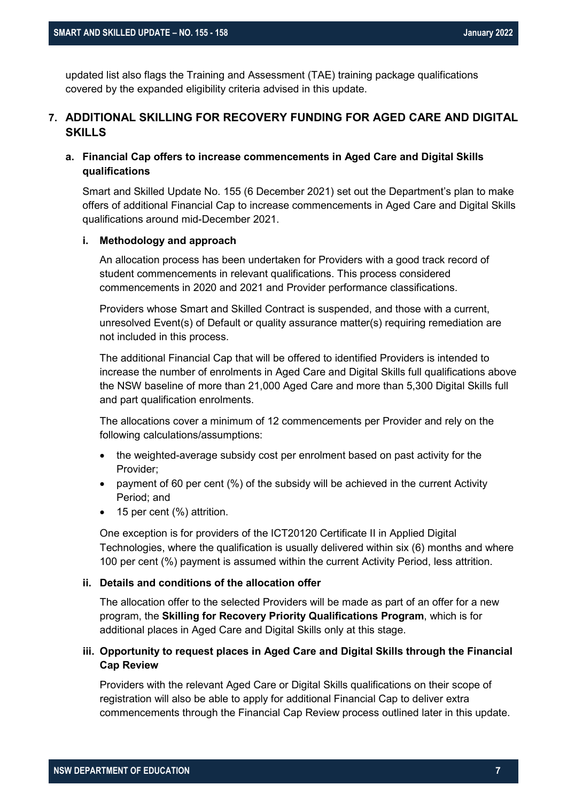updated list also flags the Training and Assessment (TAE) training package qualifications covered by the expanded eligibility criteria advised in this update.

#### **7. ADDITIONAL SKILLING FOR RECOVERY FUNDING FOR AGED CARE AND DIGITAL SKILLS**

#### **a. Financial Cap offers to increase commencements in Aged Care and Digital Skills qualifications**

Smart and Skilled Update No. 155 (6 December 2021) set out the Department's plan to make offers of additional Financial Cap to increase commencements in Aged Care and Digital Skills qualifications around mid-December 2021.

#### **i. Methodology and approach**

An allocation process has been undertaken for Providers with a good track record of student commencements in relevant qualifications. This process considered commencements in 2020 and 2021 and Provider performance classifications.

Providers whose Smart and Skilled Contract is suspended, and those with a current, unresolved Event(s) of Default or quality assurance matter(s) requiring remediation are not included in this process.

The additional Financial Cap that will be offered to identified Providers is intended to increase the number of enrolments in Aged Care and Digital Skills full qualifications above the NSW baseline of more than 21,000 Aged Care and more than 5,300 Digital Skills full and part qualification enrolments.

The allocations cover a minimum of 12 commencements per Provider and rely on the following calculations/assumptions:

- the weighted-average subsidy cost per enrolment based on past activity for the Provider;
- payment of 60 per cent (%) of the subsidy will be achieved in the current Activity Period; and
- 15 per cent (%) attrition.

One exception is for providers of the ICT20120 Certificate II in Applied Digital Technologies, where the qualification is usually delivered within six (6) months and where 100 per cent (%) payment is assumed within the current Activity Period, less attrition.

#### **ii. Details and conditions of the allocation offer**

The allocation offer to the selected Providers will be made as part of an offer for a new program, the **Skilling for Recovery Priority Qualifications Program**, which is for additional places in Aged Care and Digital Skills only at this stage.

#### **iii. Opportunity to request places in Aged Care and Digital Skills through the Financial Cap Review**

Providers with the relevant Aged Care or Digital Skills qualifications on their scope of registration will also be able to apply for additional Financial Cap to deliver extra commencements through the Financial Cap Review process outlined later in this update.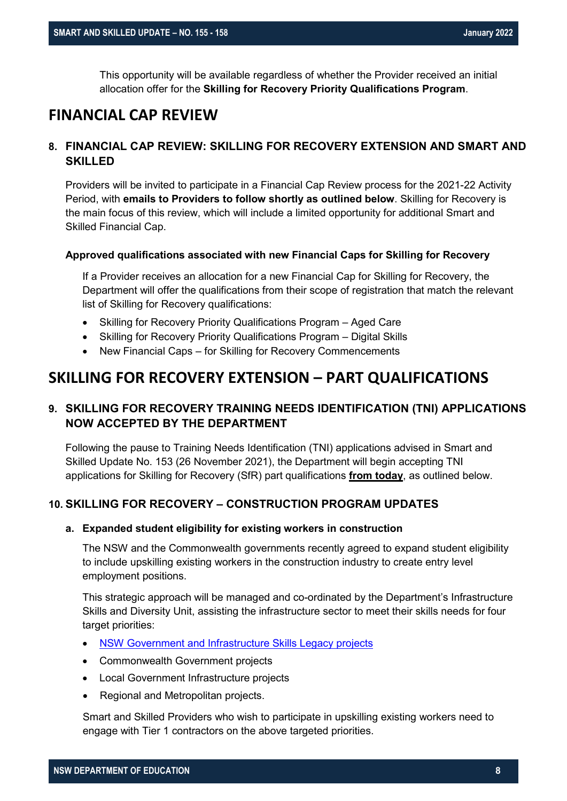This opportunity will be available regardless of whether the Provider received an initial allocation offer for the **Skilling for Recovery Priority Qualifications Program**.

### **FINANCIAL CAP REVIEW**

#### **8. FINANCIAL CAP REVIEW: SKILLING FOR RECOVERY EXTENSION AND SMART AND SKILLED**

Providers will be invited to participate in a Financial Cap Review process for the 2021-22 Activity Period, with **emails to Providers to follow shortly as outlined below**. Skilling for Recovery is the main focus of this review, which will include a limited opportunity for additional Smart and Skilled Financial Cap.

#### **Approved qualifications associated with new Financial Caps for Skilling for Recovery**

If a Provider receives an allocation for a new Financial Cap for Skilling for Recovery, the Department will offer the qualifications from their scope of registration that match the relevant list of Skilling for Recovery qualifications:

- Skilling for Recovery Priority Qualifications Program Aged Care
- Skilling for Recovery Priority Qualifications Program Digital Skills
- New Financial Caps for Skilling for Recovery Commencements

### **SKILLING FOR RECOVERY EXTENSION – PART QUALIFICATIONS**

#### **9. SKILLING FOR RECOVERY TRAINING NEEDS IDENTIFICATION (TNI) APPLICATIONS NOW ACCEPTED BY THE DEPARTMENT**

Following the pause to Training Needs Identification (TNI) applications advised in Smart and Skilled Update No. 153 (26 November 2021), the Department will begin accepting TNI applications for Skilling for Recovery (SfR) part qualifications **from today**, as outlined below.

#### **10. SKILLING FOR RECOVERY – CONSTRUCTION PROGRAM UPDATES**

#### **a. Expanded student eligibility for existing workers in construction**

The NSW and the Commonwealth governments recently agreed to expand student eligibility to include upskilling existing workers in the construction industry to create entry level employment positions.

This strategic approach will be managed and co-ordinated by the Department's Infrastructure Skills and Diversity Unit, assisting the infrastructure sector to meet their skills needs for four target priorities:

- [NSW Government and Infrastructure Skills Legacy projects](https://www.training.nsw.gov.au/programs_services/islp/index.html)
- Commonwealth Government projects
- Local Government Infrastructure projects
- Regional and Metropolitan projects.

Smart and Skilled Providers who wish to participate in upskilling existing workers need to engage with Tier 1 contractors on the above targeted priorities.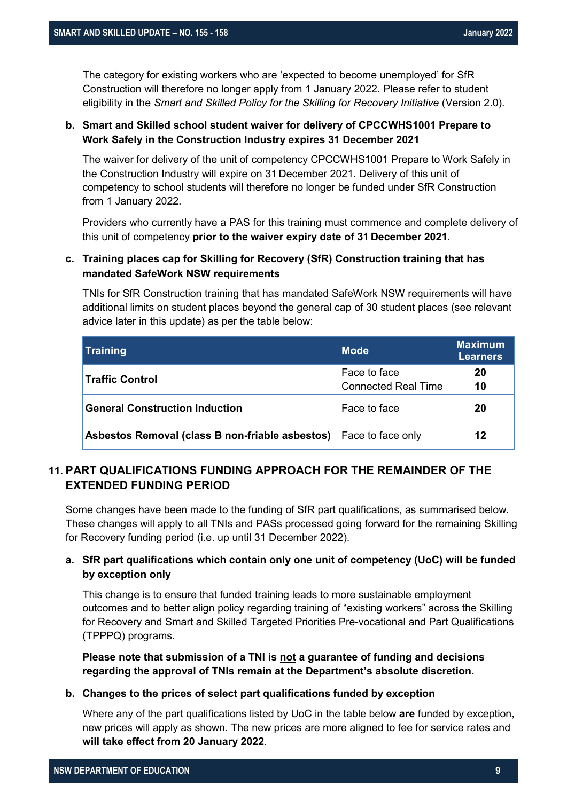The category for existing workers who are 'expected to become unemployed' for SfR Construction will therefore no longer apply from 1 January 2022. Please refer to student eligibility in the *Smart and Skilled Policy for the Skilling for Recovery Initiative* (Version 2.0).

#### **b. Smart and Skilled school student waiver for delivery of CPCCWHS1001 Prepare to Work Safely in the Construction Industry expires 31 December 2021**

The waiver for delivery of the unit of competency CPCCWHS1001 Prepare to Work Safely in the Construction Industry will expire on 31 December 2021. Delivery of this unit of competency to school students will therefore no longer be funded under SfR Construction from 1 January 2022.

Providers who currently have a PAS for this training must commence and complete delivery of this unit of competency **prior to the waiver expiry date of 31 December 2021**.

#### **c. Training places cap for Skilling for Recovery (SfR) Construction training that has mandated [SafeWork NSW requirements](https://www.safework.nsw.gov.au/__data/assets/pdf_file/0006/51846/conditions-rtos-delivering-git-8319.pdf)**

TNIs for SfR Construction training that has mandated SafeWork NSW requirements will have additional limits on student places beyond the general cap of 30 student places (see relevant advice later in this update) as per the table below:

| <b>Training</b>                                                          | <b>Mode</b>                | <b>Maximum</b><br><b>Learners</b> |
|--------------------------------------------------------------------------|----------------------------|-----------------------------------|
| <b>Traffic Control</b>                                                   | Face to face               | 20                                |
|                                                                          | <b>Connected Real Time</b> | 10                                |
| <b>General Construction Induction</b>                                    | Face to face               | 20                                |
| <b>Asbestos Removal (class B non-friable asbestos)</b> Face to face only |                            | 12                                |

### **11. PART QUALIFICATIONS FUNDING APPROACH FOR THE REMAINDER OF THE EXTENDED FUNDING PERIOD**

Some changes have been made to the funding of SfR part qualifications, as summarised below. These changes will apply to all TNIs and PASs processed going forward for the remaining Skilling for Recovery funding period (i.e. up until 31 December 2022).

#### **a. SfR part qualifications which contain only one unit of competency (UoC) will be funded by exception only**

This change is to ensure that funded training leads to more sustainable employment outcomes and to better align policy regarding training of "existing workers" across the Skilling for Recovery and Smart and Skilled Targeted Priorities Pre-vocational and Part Qualifications (TPPPQ) programs.

**Please note that submission of a TNI is not a guarantee of funding and decisions regarding the approval of TNIs remain at the Department's absolute discretion.**

#### **b. Changes to the prices of select part qualifications funded by exception**

Where any of the part qualifications listed by UoC in the table below **are** funded by exception, new prices will apply as shown. The new prices are more aligned to fee for service rates and **will take effect from 20 January 2022**.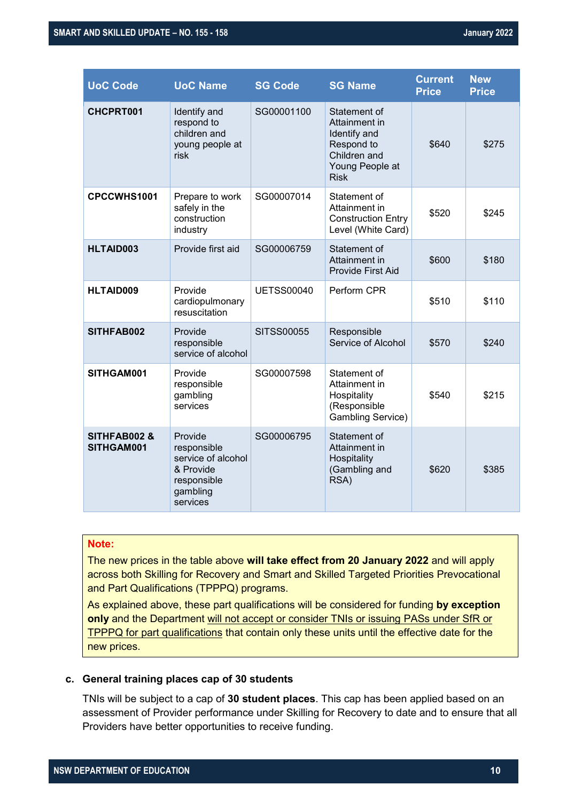| <b>UoC Code</b>                       | <b>UoC Name</b>                                                                                  | <b>SG Code</b>    | <b>SG Name</b>                                                                                                | <b>Current</b><br><b>Price</b> | <b>New</b><br><b>Price</b> |
|---------------------------------------|--------------------------------------------------------------------------------------------------|-------------------|---------------------------------------------------------------------------------------------------------------|--------------------------------|----------------------------|
| CHCPRT001                             | Identify and<br>respond to<br>children and<br>young people at<br>risk                            | SG00001100        | Statement of<br>Attainment in<br>Identify and<br>Respond to<br>Children and<br>Young People at<br><b>Risk</b> | \$640                          | \$275                      |
| CPCCWHS1001                           | Prepare to work<br>safely in the<br>construction<br>industry                                     | SG00007014        | Statement of<br>Attainment in<br><b>Construction Entry</b><br>Level (White Card)                              | \$520                          | \$245                      |
| <b>HLTAID003</b>                      | Provide first aid                                                                                | SG00006759        | Statement of<br>Attainment in<br><b>Provide First Aid</b>                                                     | \$600                          | \$180                      |
| <b>HLTAID009</b>                      | Provide<br>cardiopulmonary<br>resuscitation                                                      | <b>UETSS00040</b> | Perform CPR                                                                                                   | \$510                          | \$110                      |
| SITHFAB002                            | Provide<br>responsible<br>service of alcohol                                                     | <b>SITSS00055</b> | Responsible<br>Service of Alcohol                                                                             | \$570                          | \$240                      |
| SITHGAM001                            | Provide<br>responsible<br>gambling<br>services                                                   | SG00007598        | Statement of<br>Attainment in<br>Hospitality<br>(Responsible<br>Gambling Service)                             | \$540                          | \$215                      |
| <b>SITHFAB002 &amp;</b><br>SITHGAM001 | Provide<br>responsible<br>service of alcohol<br>& Provide<br>responsible<br>gambling<br>services | SG00006795        | Statement of<br>Attainment in<br>Hospitality<br>(Gambling and<br>RSA)                                         | \$620                          | \$385                      |

#### **Note:**

The new prices in the table above **will take effect from 20 January 2022** and will apply across both Skilling for Recovery and Smart and Skilled Targeted Priorities Prevocational and Part Qualifications (TPPPQ) programs.

As explained above, these part qualifications will be considered for funding **by exception only** and the Department will not accept or consider TNIs or issuing PASs under SfR or TPPPQ for part qualifications that contain only these units until the effective date for the new prices.

#### **c. General training places cap of 30 students**

TNIs will be subject to a cap of **30 student places**. This cap has been applied based on an assessment of Provider performance under Skilling for Recovery to date and to ensure that all Providers have better opportunities to receive funding.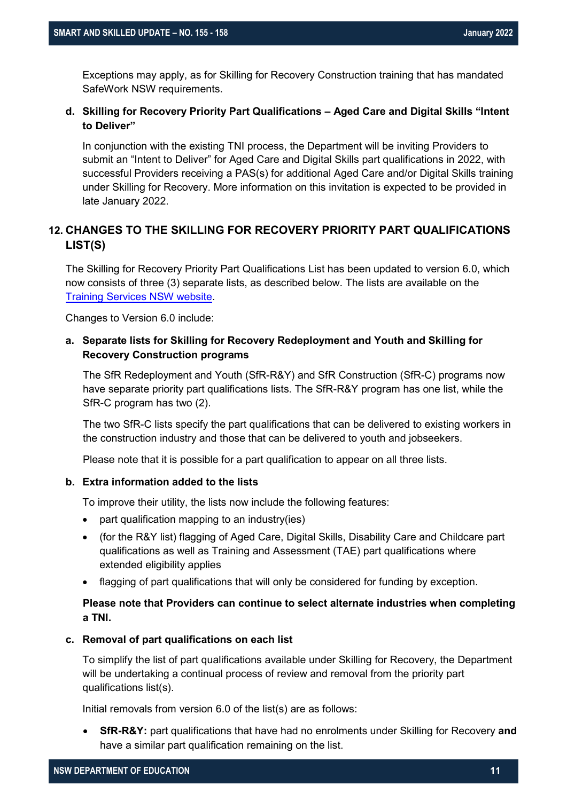Exceptions may apply, as for Skilling for Recovery Construction training that has mandated [SafeWork NSW requirements.](https://www.safework.nsw.gov.au/__data/assets/pdf_file/0006/51846/conditions-rtos-delivering-git-8319.pdf)

#### **d. Skilling for Recovery Priority Part Qualifications – Aged Care and Digital Skills "Intent to Deliver"**

In conjunction with the existing TNI process, the Department will be inviting Providers to submit an "Intent to Deliver" for Aged Care and Digital Skills part qualifications in 2022, with successful Providers receiving a PAS(s) for additional Aged Care and/or Digital Skills training under Skilling for Recovery. More information on this invitation is expected to be provided in late January 2022.

#### **12. CHANGES TO THE SKILLING FOR RECOVERY PRIORITY PART QUALIFICATIONS LIST(S)**

The Skilling for Recovery Priority Part Qualifications List has been updated to version 6.0, which now consists of three (3) separate lists, as described below. The lists are available on the [Training Services NSW website.](https://www.training.nsw.gov.au/smartandskilled/nsw_skills_list.html)

Changes to Version 6.0 include:

#### **a. Separate lists for Skilling for Recovery Redeployment and Youth and Skilling for Recovery Construction programs**

The SfR Redeployment and Youth (SfR-R&Y) and SfR Construction (SfR-C) programs now have separate priority part qualifications lists. The SfR-R&Y program has one list, while the SfR-C program has two (2).

The two SfR-C lists specify the part qualifications that can be delivered to existing workers in the construction industry and those that can be delivered to youth and jobseekers.

Please note that it is possible for a part qualification to appear on all three lists.

#### **b. Extra information added to the lists**

To improve their utility, the lists now include the following features:

- part qualification mapping to an industry(ies)
- (for the R&Y list) flagging of Aged Care, Digital Skills, Disability Care and Childcare part qualifications as well as Training and Assessment (TAE) part qualifications where extended eligibility applies
- flagging of part qualifications that will only be considered for funding by exception.

#### **Please note that Providers can continue to select alternate industries when completing a TNI.**

#### **c. Removal of part qualifications on each list**

To simplify the list of part qualifications available under Skilling for Recovery, the Department will be undertaking a continual process of review and removal from the priority part qualifications list(s).

Initial removals from version 6.0 of the list(s) are as follows:

• **SfR-R&Y:** part qualifications that have had no enrolments under Skilling for Recovery **and** have a similar part qualification remaining on the list.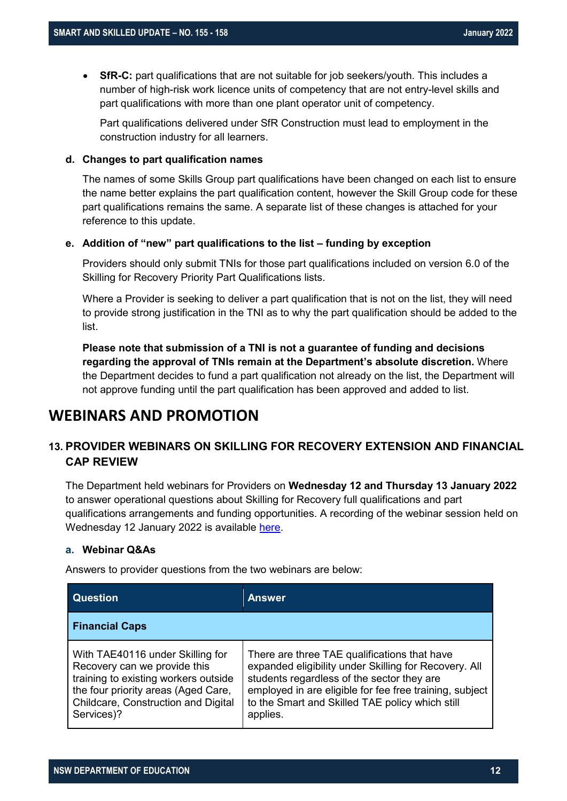• **SfR-C:** part qualifications that are not suitable for job seekers/youth. This includes a number of high-risk work licence units of competency that are not entry-level skills and part qualifications with more than one plant operator unit of competency.

Part qualifications delivered under SfR Construction must lead to employment in the construction industry for all learners.

#### **d. Changes to part qualification names**

The names of some Skills Group part qualifications have been changed on each list to ensure the name better explains the part qualification content, however the Skill Group code for these part qualifications remains the same. A separate list of these changes is attached for your reference to this update.

#### **e. Addition of "new" part qualifications to the list – funding by exception**

Providers should only submit TNIs for those part qualifications included on version 6.0 of the Skilling for Recovery Priority Part Qualifications lists.

Where a Provider is seeking to deliver a part qualification that is not on the list, they will need to provide strong justification in the TNI as to why the part qualification should be added to the list.

**Please note that submission of a TNI is not a guarantee of funding and decisions regarding the approval of TNIs remain at the Department's absolute discretion.** Where the Department decides to fund a part qualification not already on the list, the Department will not approve funding until the part qualification has been approved and added to list.

### **WEBINARS AND PROMOTION**

#### **13. PROVIDER WEBINARS ON SKILLING FOR RECOVERY EXTENSION AND FINANCIAL CAP REVIEW**

The Department held webinars for Providers on **Wednesday 12 and Thursday 13 January 2022** to answer operational questions about Skilling for Recovery full qualifications and part qualifications arrangements and funding opportunities. A recording of the webinar session held on Wednesday 12 January 2022 is available [here.](https://bcove.video/33C2kb0)

#### **a. Webinar Q&As**

Answers to provider questions from the two webinars are below:

| Question                                                                                                                                                                                             | <b>Answer</b>                                                                                                                                                                                                                                                                 |
|------------------------------------------------------------------------------------------------------------------------------------------------------------------------------------------------------|-------------------------------------------------------------------------------------------------------------------------------------------------------------------------------------------------------------------------------------------------------------------------------|
| <b>Financial Caps</b>                                                                                                                                                                                |                                                                                                                                                                                                                                                                               |
| With TAE40116 under Skilling for<br>Recovery can we provide this<br>training to existing workers outside<br>the four priority areas (Aged Care,<br>Childcare, Construction and Digital<br>Services)? | There are three TAE qualifications that have<br>expanded eligibility under Skilling for Recovery. All<br>students regardless of the sector they are<br>employed in are eligible for fee free training, subject<br>to the Smart and Skilled TAE policy which still<br>applies. |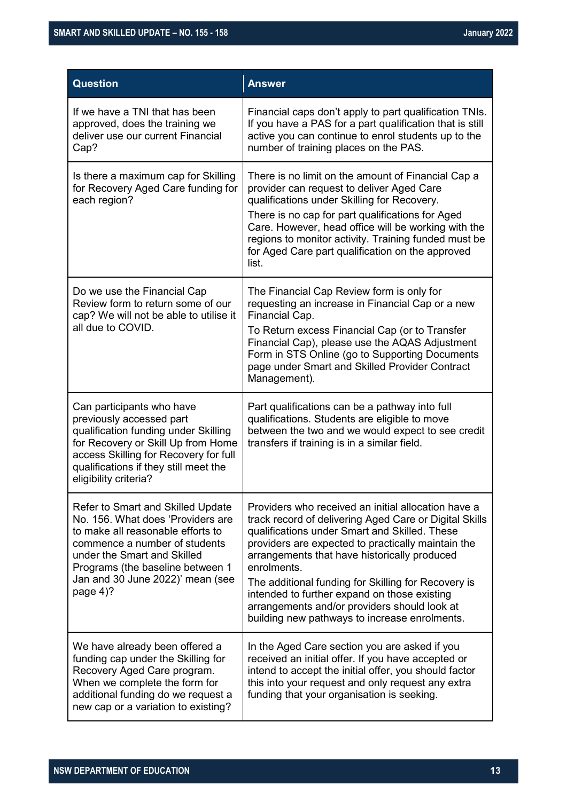| <b>Question</b>                                                                                                                                                                                                                                                   | <b>Answer</b>                                                                                                                                                                                                                                                                                                                                                                                                                                                                               |
|-------------------------------------------------------------------------------------------------------------------------------------------------------------------------------------------------------------------------------------------------------------------|---------------------------------------------------------------------------------------------------------------------------------------------------------------------------------------------------------------------------------------------------------------------------------------------------------------------------------------------------------------------------------------------------------------------------------------------------------------------------------------------|
| If we have a TNI that has been<br>approved, does the training we<br>deliver use our current Financial<br>Cap?                                                                                                                                                     | Financial caps don't apply to part qualification TNIs.<br>If you have a PAS for a part qualification that is still<br>active you can continue to enrol students up to the<br>number of training places on the PAS.                                                                                                                                                                                                                                                                          |
| Is there a maximum cap for Skilling<br>for Recovery Aged Care funding for<br>each region?                                                                                                                                                                         | There is no limit on the amount of Financial Cap a<br>provider can request to deliver Aged Care<br>qualifications under Skilling for Recovery.<br>There is no cap for part qualifications for Aged<br>Care. However, head office will be working with the<br>regions to monitor activity. Training funded must be<br>for Aged Care part qualification on the approved<br>list.                                                                                                              |
| Do we use the Financial Cap<br>Review form to return some of our<br>cap? We will not be able to utilise it<br>all due to COVID.                                                                                                                                   | The Financial Cap Review form is only for<br>requesting an increase in Financial Cap or a new<br>Financial Cap.<br>To Return excess Financial Cap (or to Transfer<br>Financial Cap), please use the AQAS Adjustment<br>Form in STS Online (go to Supporting Documents<br>page under Smart and Skilled Provider Contract<br>Management).                                                                                                                                                     |
| Can participants who have<br>previously accessed part<br>qualification funding under Skilling<br>for Recovery or Skill Up from Home<br>access Skilling for Recovery for full<br>qualifications if they still meet the<br>eligibility criteria?                    | Part qualifications can be a pathway into full<br>qualifications. Students are eligible to move<br>between the two and we would expect to see credit<br>transfers if training is in a similar field.                                                                                                                                                                                                                                                                                        |
| Refer to Smart and Skilled Update<br>No. 156. What does 'Providers are<br>to make all reasonable efforts to<br>commence a number of students<br>under the Smart and Skilled<br>Programs (the baseline between 1<br>Jan and 30 June 2022)' mean (see<br>page $4$ ? | Providers who received an initial allocation have a<br>track record of delivering Aged Care or Digital Skills<br>qualifications under Smart and Skilled. These<br>providers are expected to practically maintain the<br>arrangements that have historically produced<br>enrolments.<br>The additional funding for Skilling for Recovery is<br>intended to further expand on those existing<br>arrangements and/or providers should look at<br>building new pathways to increase enrolments. |
| We have already been offered a<br>funding cap under the Skilling for<br>Recovery Aged Care program.<br>When we complete the form for<br>additional funding do we request a<br>new cap or a variation to existing?                                                 | In the Aged Care section you are asked if you<br>received an initial offer. If you have accepted or<br>intend to accept the initial offer, you should factor<br>this into your request and only request any extra<br>funding that your organisation is seeking.                                                                                                                                                                                                                             |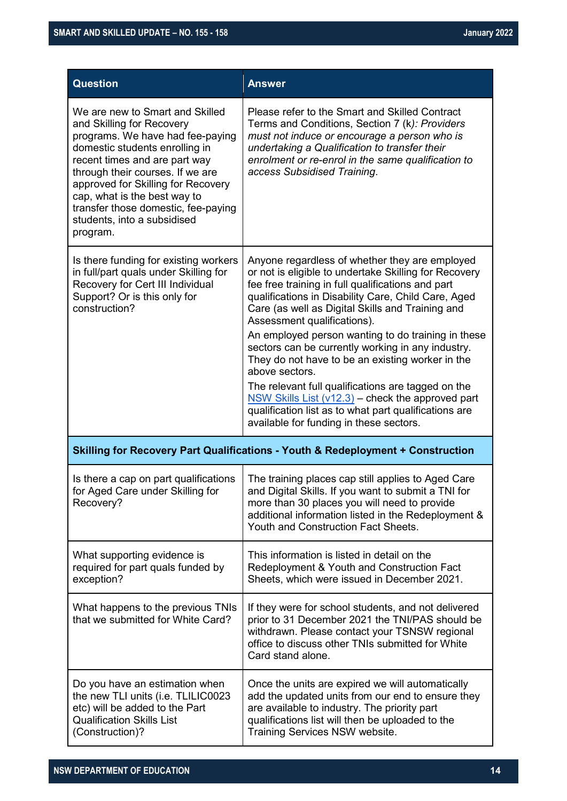| <b>Question</b>                                                                                                                                                                                                                                                                                                                                                 | <b>Answer</b>                                                                                                                                                                                                                                                                                                                                                                                                                                                                                                                                                                                                                                                                                            |
|-----------------------------------------------------------------------------------------------------------------------------------------------------------------------------------------------------------------------------------------------------------------------------------------------------------------------------------------------------------------|----------------------------------------------------------------------------------------------------------------------------------------------------------------------------------------------------------------------------------------------------------------------------------------------------------------------------------------------------------------------------------------------------------------------------------------------------------------------------------------------------------------------------------------------------------------------------------------------------------------------------------------------------------------------------------------------------------|
| We are new to Smart and Skilled<br>and Skilling for Recovery<br>programs. We have had fee-paying<br>domestic students enrolling in<br>recent times and are part way<br>through their courses. If we are<br>approved for Skilling for Recovery<br>cap, what is the best way to<br>transfer those domestic, fee-paying<br>students, into a subsidised<br>program. | Please refer to the Smart and Skilled Contract<br>Terms and Conditions, Section 7 (k): Providers<br>must not induce or encourage a person who is<br>undertaking a Qualification to transfer their<br>enrolment or re-enrol in the same qualification to<br>access Subsidised Training.                                                                                                                                                                                                                                                                                                                                                                                                                   |
| Is there funding for existing workers<br>in full/part quals under Skilling for<br>Recovery for Cert III Individual<br>Support? Or is this only for<br>construction?                                                                                                                                                                                             | Anyone regardless of whether they are employed<br>or not is eligible to undertake Skilling for Recovery<br>fee free training in full qualifications and part<br>qualifications in Disability Care, Child Care, Aged<br>Care (as well as Digital Skills and Training and<br>Assessment qualifications).<br>An employed person wanting to do training in these<br>sectors can be currently working in any industry.<br>They do not have to be an existing worker in the<br>above sectors.<br>The relevant full qualifications are tagged on the<br>NSW Skills List $(v12.3)$ – check the approved part<br>qualification list as to what part qualifications are<br>available for funding in these sectors. |
|                                                                                                                                                                                                                                                                                                                                                                 | <b>Skilling for Recovery Part Qualifications - Youth &amp; Redeployment + Construction</b>                                                                                                                                                                                                                                                                                                                                                                                                                                                                                                                                                                                                               |
| Is there a cap on part qualifications<br>for Aged Care under Skilling for<br>Recovery?                                                                                                                                                                                                                                                                          | The training places cap still applies to Aged Care<br>and Digital Skills. If you want to submit a TNI for<br>more than 30 places you will need to provide<br>additional information listed in the Redeployment &<br>Youth and Construction Fact Sheets.                                                                                                                                                                                                                                                                                                                                                                                                                                                  |
| What supporting evidence is<br>required for part quals funded by<br>exception?                                                                                                                                                                                                                                                                                  | This information is listed in detail on the<br>Redeployment & Youth and Construction Fact<br>Sheets, which were issued in December 2021.                                                                                                                                                                                                                                                                                                                                                                                                                                                                                                                                                                 |
| What happens to the previous TNIs<br>that we submitted for White Card?                                                                                                                                                                                                                                                                                          | If they were for school students, and not delivered<br>prior to 31 December 2021 the TNI/PAS should be<br>withdrawn. Please contact your TSNSW regional<br>office to discuss other TNIs submitted for White<br>Card stand alone.                                                                                                                                                                                                                                                                                                                                                                                                                                                                         |
| Do you have an estimation when<br>the new TLI units (i.e. TLILIC0023<br>etc) will be added to the Part<br><b>Qualification Skills List</b><br>(Construction)?                                                                                                                                                                                                   | Once the units are expired we will automatically<br>add the updated units from our end to ensure they<br>are available to industry. The priority part<br>qualifications list will then be uploaded to the<br>Training Services NSW website.                                                                                                                                                                                                                                                                                                                                                                                                                                                              |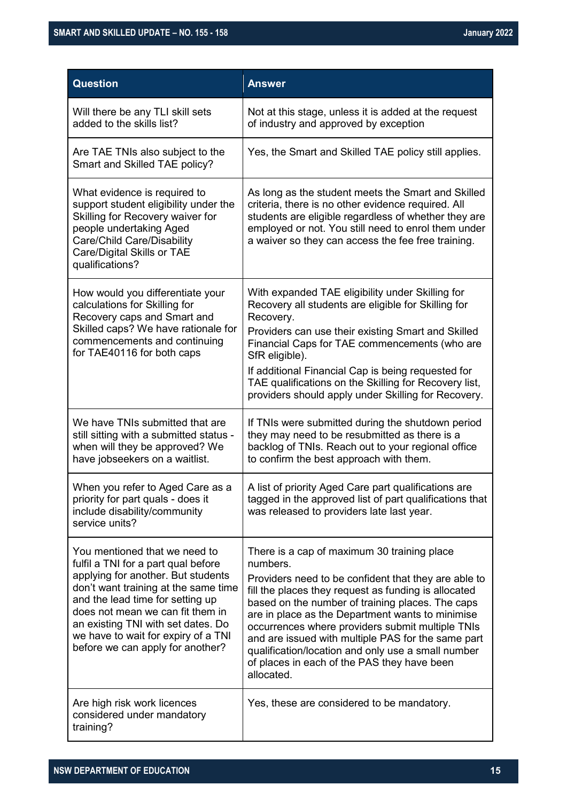| <b>Question</b>                                                                                                                                                                                                                                                                                                                             | <b>Answer</b>                                                                                                                                                                                                                                                                                                                                                                                                                                                                                                |
|---------------------------------------------------------------------------------------------------------------------------------------------------------------------------------------------------------------------------------------------------------------------------------------------------------------------------------------------|--------------------------------------------------------------------------------------------------------------------------------------------------------------------------------------------------------------------------------------------------------------------------------------------------------------------------------------------------------------------------------------------------------------------------------------------------------------------------------------------------------------|
| Will there be any TLI skill sets<br>added to the skills list?                                                                                                                                                                                                                                                                               | Not at this stage, unless it is added at the request<br>of industry and approved by exception                                                                                                                                                                                                                                                                                                                                                                                                                |
| Are TAE TNIs also subject to the<br>Smart and Skilled TAE policy?                                                                                                                                                                                                                                                                           | Yes, the Smart and Skilled TAE policy still applies.                                                                                                                                                                                                                                                                                                                                                                                                                                                         |
| What evidence is required to<br>support student eligibility under the<br>Skilling for Recovery waiver for<br>people undertaking Aged<br>Care/Child Care/Disability<br>Care/Digital Skills or TAE<br>qualifications?                                                                                                                         | As long as the student meets the Smart and Skilled<br>criteria, there is no other evidence required. All<br>students are eligible regardless of whether they are<br>employed or not. You still need to enrol them under<br>a waiver so they can access the fee free training.                                                                                                                                                                                                                                |
| How would you differentiate your<br>calculations for Skilling for<br>Recovery caps and Smart and<br>Skilled caps? We have rationale for<br>commencements and continuing<br>for TAE40116 for both caps                                                                                                                                       | With expanded TAE eligibility under Skilling for<br>Recovery all students are eligible for Skilling for<br>Recovery.<br>Providers can use their existing Smart and Skilled<br>Financial Caps for TAE commencements (who are<br>SfR eligible).<br>If additional Financial Cap is being requested for<br>TAE qualifications on the Skilling for Recovery list,<br>providers should apply under Skilling for Recovery.                                                                                          |
| We have TNIs submitted that are<br>still sitting with a submitted status -<br>when will they be approved? We<br>have jobseekers on a waitlist.                                                                                                                                                                                              | If TNIs were submitted during the shutdown period<br>they may need to be resubmitted as there is a<br>backlog of TNIs. Reach out to your regional office<br>to confirm the best approach with them.                                                                                                                                                                                                                                                                                                          |
| When you refer to Aged Care as a<br>priority for part quals - does it<br>include disability/community<br>service units?                                                                                                                                                                                                                     | A list of priority Aged Care part qualifications are<br>tagged in the approved list of part qualifications that<br>was released to providers late last year.                                                                                                                                                                                                                                                                                                                                                 |
| You mentioned that we need to<br>fulfil a TNI for a part qual before<br>applying for another. But students<br>don't want training at the same time<br>and the lead time for setting up<br>does not mean we can fit them in<br>an existing TNI with set dates. Do<br>we have to wait for expiry of a TNI<br>before we can apply for another? | There is a cap of maximum 30 training place<br>numbers.<br>Providers need to be confident that they are able to<br>fill the places they request as funding is allocated<br>based on the number of training places. The caps<br>are in place as the Department wants to minimise<br>occurrences where providers submit multiple TNIs<br>and are issued with multiple PAS for the same part<br>qualification/location and only use a small number<br>of places in each of the PAS they have been<br>allocated. |
| Are high risk work licences<br>considered under mandatory<br>training?                                                                                                                                                                                                                                                                      | Yes, these are considered to be mandatory.                                                                                                                                                                                                                                                                                                                                                                                                                                                                   |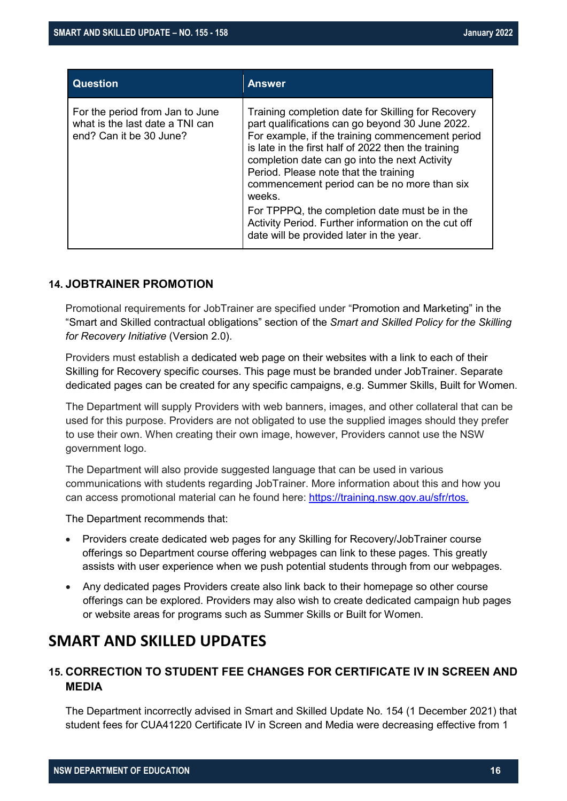| <b>Question</b>                                                                               | <b>Answer</b>                                                                                                                                                                                                                                                                                                                                                       |
|-----------------------------------------------------------------------------------------------|---------------------------------------------------------------------------------------------------------------------------------------------------------------------------------------------------------------------------------------------------------------------------------------------------------------------------------------------------------------------|
| For the period from Jan to June<br>what is the last date a TNI can<br>end? Can it be 30 June? | Training completion date for Skilling for Recovery<br>part qualifications can go beyond 30 June 2022.<br>For example, if the training commencement period<br>is late in the first half of 2022 then the training<br>completion date can go into the next Activity<br>Period. Please note that the training<br>commencement period can be no more than six<br>weeks. |
|                                                                                               | For TPPPQ, the completion date must be in the<br>Activity Period. Further information on the cut off<br>date will be provided later in the year.                                                                                                                                                                                                                    |

#### **14. JOBTRAINER PROMOTION**

Promotional requirements for JobTrainer are specified under "Promotion and Marketing" in the "Smart and Skilled contractual obligations" section of the *Smart and Skilled Policy for the Skilling for Recovery Initiative* (Version 2.0).

Providers must establish a dedicated web page on their websites with a link to each of their Skilling for Recovery specific courses. This page must be branded under JobTrainer. Separate dedicated pages can be created for any specific campaigns, e.g. Summer Skills, Built for Women.

The Department will supply Providers with web banners, images, and other collateral that can be used for this purpose. Providers are not obligated to use the supplied images should they prefer to use their own. When creating their own image, however, Providers cannot use the NSW government logo.

The Department will also provide suggested language that can be used in various communications with students regarding JobTrainer. More information about this and how you can access promotional material can he found here: [https://training.nsw.gov.au/sfr/rtos.](https://training.nsw.gov.au/sfr/rtos)

The Department recommends that:

- Providers create dedicated web pages for any Skilling for Recovery/JobTrainer course offerings so Department course offering webpages can link to these pages. This greatly assists with user experience when we push potential students through from our webpages.
- Any dedicated pages Providers create also link back to their homepage so other course offerings can be explored. Providers may also wish to create dedicated campaign hub pages or website areas for programs such as Summer Skills or Built for Women.

### **SMART AND SKILLED UPDATES**

### **15. CORRECTION TO STUDENT FEE CHANGES FOR CERTIFICATE IV IN SCREEN AND MEDIA**

The Department incorrectly advised in Smart and Skilled Update No. 154 (1 December 2021) that student fees for CUA41220 Certificate IV in Screen and Media were decreasing effective from 1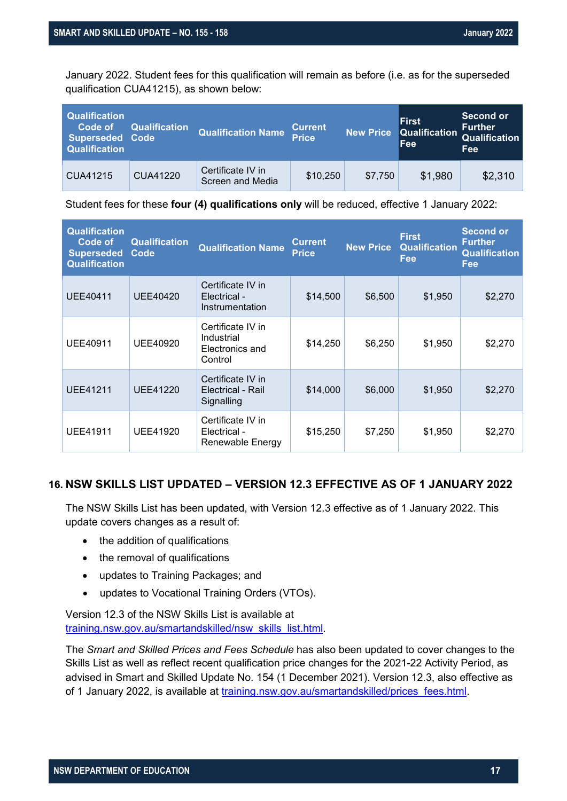January 2022. Student fees for this qualification will remain as before (i.e. as for the superseded qualification CUA41215), as shown below:

| <b>Qualification</b><br>Code of<br><b>Superseded Code</b><br><b>Qualification</b> | <b>Qualification</b> | <b>Qualification Name</b>             | <b>Current</b><br><b>Price</b> | <b>New Price</b> | <b>First</b><br>Qualification<br>Fee | Second or<br><b>Further</b><br>Qualification<br>Fee |
|-----------------------------------------------------------------------------------|----------------------|---------------------------------------|--------------------------------|------------------|--------------------------------------|-----------------------------------------------------|
| CUA41215                                                                          | CUA41220             | Certificate IV in<br>Screen and Media | \$10,250                       | \$7.750          | \$1,980                              | \$2,310                                             |

Student fees for these **four (4) qualifications only** will be reduced, effective 1 January 2022:

| <b>Qualification</b><br>Code of<br><b>Superseded</b><br><b>Qualification</b> | <b>Qualification</b><br>Code | <b>Qualification Name</b>                                     | <b>Current</b><br><b>Price</b> | <b>New Price</b> | <b>First</b><br><b>Qualification</b><br>Fee | <b>Second or</b><br><b>Further</b><br><b>Qualification</b><br>Fee |
|------------------------------------------------------------------------------|------------------------------|---------------------------------------------------------------|--------------------------------|------------------|---------------------------------------------|-------------------------------------------------------------------|
| UEE40411                                                                     | <b>UEE40420</b>              | Certificate IV in<br>Electrical -<br>Instrumentation          | \$14,500                       | \$6,500          | \$1,950                                     | \$2,270                                                           |
| <b>UEE40911</b>                                                              | UEE40920                     | Certificate IV in<br>Industrial<br>Electronics and<br>Control | \$14,250                       | \$6,250          | \$1,950                                     | \$2,270                                                           |
| <b>UEE41211</b>                                                              | <b>UEE41220</b>              | Certificate IV in<br>Electrical - Rail<br>Signalling          | \$14,000                       | \$6,000          | \$1,950                                     | \$2,270                                                           |
| <b>UEE41911</b>                                                              | UEE41920                     | Certificate IV in<br>Electrical -<br>Renewable Energy         | \$15,250                       | \$7,250          | \$1,950                                     | \$2,270                                                           |

#### **16. NSW SKILLS LIST UPDATED – VERSION 12.3 EFFECTIVE AS OF 1 JANUARY 2022**

The NSW Skills List has been updated, with Version 12.3 effective as of 1 January 2022. This update covers changes as a result of:

- the addition of qualifications
- the removal of qualifications
- updates to Training Packages; and
- updates to Vocational Training Orders (VTOs).

Version 12.3 of the NSW Skills List is available at [training.nsw.gov.au/smartandskilled/nsw\\_skills\\_list.html.](https://www.training.nsw.gov.au/smartandskilled/nsw_skills_list.html)

The *Smart and Skilled Prices and Fees Schedule* has also been updated to cover changes to the Skills List as well as reflect recent qualification price changes for the 2021-22 Activity Period, as advised in Smart and Skilled Update No. 154 (1 December 2021). Version 12.3, also effective as of 1 January 2022, is available at [training.nsw.gov.au/smartandskilled/prices\\_fees.html.](https://www.training.nsw.gov.au/smartandskilled/prices_fees.html)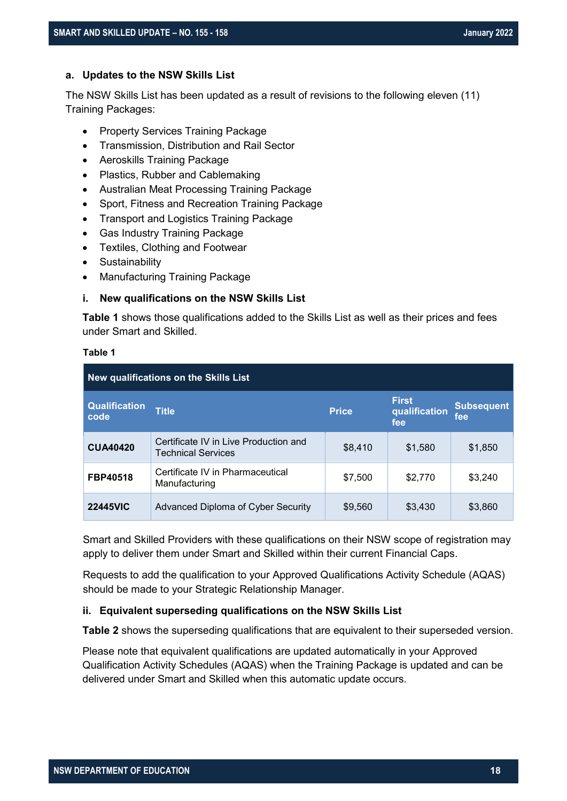#### **a. Updates to the NSW Skills List**

The NSW Skills List has been updated as a result of revisions to the following eleven (11) Training Packages:

- Property Services Training Package
- Transmission, Distribution and Rail Sector
- Aeroskills Training Package
- Plastics, Rubber and Cablemaking
- Australian Meat Processing Training Package
- Sport, Fitness and Recreation Training Package
- Transport and Logistics Training Package
- Gas Industry Training Package
- Textiles, Clothing and Footwear
- Sustainability
- Manufacturing Training Package

#### **i. New qualifications on the NSW Skills List**

**[Table 1](#page-17-0)** shows those qualifications added to the Skills List as well as their prices and fees under Smart and Skilled.

#### <span id="page-17-0"></span>**Table 1**

| <b>New qualifications on the Skills List</b> |                                                                    |              |                                      |                          |  |  |
|----------------------------------------------|--------------------------------------------------------------------|--------------|--------------------------------------|--------------------------|--|--|
| <b>Qualification</b><br>code                 | <b>Title</b>                                                       | <b>Price</b> | <b>First</b><br>qualification<br>fee | <b>Subsequent</b><br>fee |  |  |
| <b>CUA40420</b>                              | Certificate IV in Live Production and<br><b>Technical Services</b> | \$8.410      | \$1,580                              | \$1,850                  |  |  |
| FBP40518                                     | Certificate IV in Pharmaceutical<br>Manufacturing                  | \$7,500      | \$2,770                              | \$3,240                  |  |  |
| <b>22445VIC</b>                              | Advanced Diploma of Cyber Security                                 | \$9,560      | \$3,430                              | \$3,860                  |  |  |

Smart and Skilled Providers with these qualifications on their NSW scope of registration may apply to deliver them under Smart and Skilled within their current Financial Caps.

Requests to add the qualification to your Approved Qualifications Activity Schedule (AQAS) should be made to your Strategic Relationship Manager.

#### **ii. Equivalent superseding qualifications on the NSW Skills List**

**[Table 2](#page-18-0)** shows the superseding qualifications that are equivalent to their superseded version.

Please note that equivalent qualifications are updated automatically in your Approved Qualification Activity Schedules (AQAS) when the Training Package is updated and can be delivered under Smart and Skilled when this automatic update occurs.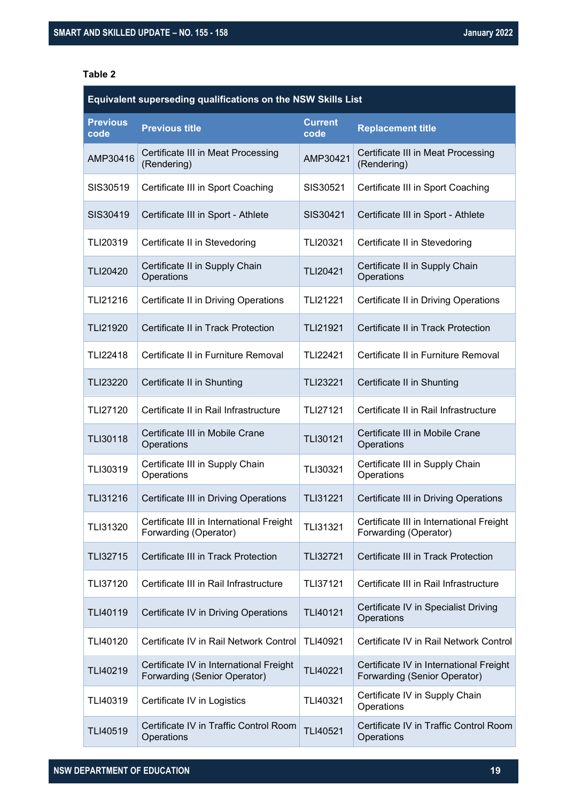#### <span id="page-18-0"></span>**Table 2**

| Equivalent superseding qualifications on the NSW Skills List |                                                                         |                        |                                                                                |
|--------------------------------------------------------------|-------------------------------------------------------------------------|------------------------|--------------------------------------------------------------------------------|
| <b>Previous</b><br>code                                      | <b>Previous title</b>                                                   | <b>Current</b><br>code | <b>Replacement title</b>                                                       |
| AMP30416                                                     | Certificate III in Meat Processing<br>(Rendering)                       | AMP30421               | Certificate III in Meat Processing<br>(Rendering)                              |
| SIS30519                                                     | Certificate III in Sport Coaching                                       | SIS30521               | Certificate III in Sport Coaching                                              |
| SIS30419                                                     | Certificate III in Sport - Athlete                                      | SIS30421               | Certificate III in Sport - Athlete                                             |
| TLI20319                                                     | Certificate II in Stevedoring                                           | <b>TLI20321</b>        | Certificate II in Stevedoring                                                  |
| <b>TLI20420</b>                                              | Certificate II in Supply Chain<br>Operations                            | <b>TLI20421</b>        | Certificate II in Supply Chain<br>Operations                                   |
| TLI21216                                                     | Certificate II in Driving Operations                                    | <b>TLI21221</b>        | Certificate II in Driving Operations                                           |
| TLI21920                                                     | Certificate II in Track Protection                                      | <b>TLI21921</b>        | Certificate II in Track Protection                                             |
| TLI22418                                                     | Certificate II in Furniture Removal                                     | <b>TLI22421</b>        | Certificate II in Furniture Removal                                            |
| <b>TLI23220</b>                                              | Certificate II in Shunting                                              | <b>TLI23221</b>        | Certificate II in Shunting                                                     |
| TLI27120                                                     | Certificate II in Rail Infrastructure                                   | <b>TLI27121</b>        | Certificate II in Rail Infrastructure                                          |
| TLI30118                                                     | Certificate III in Mobile Crane<br>Operations                           | <b>TLI30121</b>        | Certificate III in Mobile Crane<br>Operations                                  |
| TLI30319                                                     | Certificate III in Supply Chain<br>Operations                           | TLI30321               | Certificate III in Supply Chain<br>Operations                                  |
| TLI31216                                                     | Certificate III in Driving Operations                                   | <b>TLI31221</b>        | Certificate III in Driving Operations                                          |
| TLI31320                                                     | Certificate III in International Freight<br>Forwarding (Operator)       | TLI31321               | Certificate III in International Freight<br>Forwarding (Operator)              |
| TLI32715                                                     | Certificate III in Track Protection                                     | TLI32721               | Certificate III in Track Protection                                            |
| TLI37120                                                     | Certificate III in Rail Infrastructure                                  | TLI37121               | Certificate III in Rail Infrastructure                                         |
| TLI40119                                                     | Certificate IV in Driving Operations                                    | TLI40121               | Certificate IV in Specialist Driving<br>Operations                             |
| TLI40120                                                     | Certificate IV in Rail Network Control                                  | TLI40921               | Certificate IV in Rail Network Control                                         |
| TLI40219                                                     | Certificate IV in International Freight<br>Forwarding (Senior Operator) | TLI40221               | Certificate IV in International Freight<br><b>Forwarding (Senior Operator)</b> |
| TLI40319                                                     | Certificate IV in Logistics                                             | TLI40321               | Certificate IV in Supply Chain<br>Operations                                   |
| TLI40519                                                     | Certificate IV in Traffic Control Room<br>Operations                    | TLI40521               | Certificate IV in Traffic Control Room<br>Operations                           |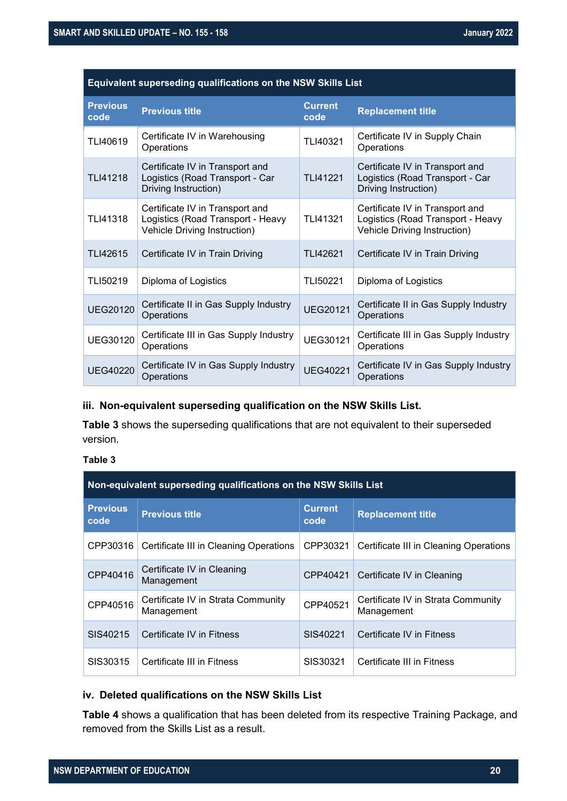| Equivalent superseding qualifications on the NSW Skills List |                                                                                                      |                        |                                                                                                      |
|--------------------------------------------------------------|------------------------------------------------------------------------------------------------------|------------------------|------------------------------------------------------------------------------------------------------|
| <b>Previous</b><br>code                                      | <b>Previous title</b>                                                                                | <b>Current</b><br>code | <b>Replacement title</b>                                                                             |
| TLI40619                                                     | Certificate IV in Warehousing<br>Operations                                                          | TLI40321               | Certificate IV in Supply Chain<br>Operations                                                         |
| TLI41218                                                     | Certificate IV in Transport and<br>Logistics (Road Transport - Car<br>Driving Instruction)           | <b>TLI41221</b>        | Certificate IV in Transport and<br>Logistics (Road Transport - Car<br>Driving Instruction)           |
| TLI41318                                                     | Certificate IV in Transport and<br>Logistics (Road Transport - Heavy<br>Vehicle Driving Instruction) | TLI41321               | Certificate IV in Transport and<br>Logistics (Road Transport - Heavy<br>Vehicle Driving Instruction) |
| TLI42615                                                     | Certificate IV in Train Driving                                                                      | TLI42621               | Certificate IV in Train Driving                                                                      |
| TLI50219                                                     | Diploma of Logistics                                                                                 | TLI50221               | Diploma of Logistics                                                                                 |
| <b>UEG20120</b>                                              | Certificate II in Gas Supply Industry<br>Operations                                                  | <b>UEG20121</b>        | Certificate II in Gas Supply Industry<br>Operations                                                  |
| UEG30120                                                     | Certificate III in Gas Supply Industry<br>Operations                                                 | <b>UEG30121</b>        | Certificate III in Gas Supply Industry<br>Operations                                                 |
| <b>UEG40220</b>                                              | Certificate IV in Gas Supply Industry<br>Operations                                                  | <b>UEG40221</b>        | Certificate IV in Gas Supply Industry<br>Operations                                                  |

#### **iii. Non-equivalent superseding qualification on the NSW Skills List.**

**[Table 3](#page-19-0)** shows the superseding qualifications that are not equivalent to their superseded version.

#### <span id="page-19-0"></span>**Table 3**

| Non-equivalent superseding qualifications on the NSW Skills List |                                                  |                        |                                                  |
|------------------------------------------------------------------|--------------------------------------------------|------------------------|--------------------------------------------------|
| <b>Previous</b><br>code                                          | <b>Previous title</b>                            | <b>Current</b><br>code | <b>Replacement title</b>                         |
| CPP30316                                                         | Certificate III in Cleaning Operations           | CPP30321               | Certificate III in Cleaning Operations           |
| CPP40416                                                         | Certificate IV in Cleaning<br>Management         | CPP40421               | Certificate IV in Cleaning                       |
| CPP40516                                                         | Certificate IV in Strata Community<br>Management | CPP40521               | Certificate IV in Strata Community<br>Management |
| SIS40215                                                         | Certificate IV in Fitness                        | SIS40221               | Certificate IV in Fitness                        |
| SIS30315                                                         | Certificate III in Fitness                       | SIS30321               | Certificate III in Fitness                       |

#### **iv. Deleted qualifications on the NSW Skills List**

**[Table 4](#page-20-0)** shows a qualification that has been deleted from its respective Training Package, and removed from the Skills List as a result.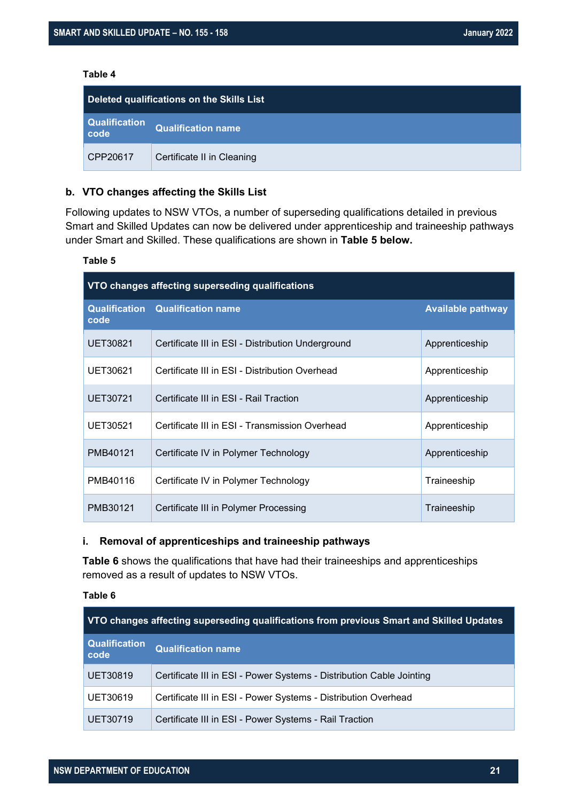#### <span id="page-20-0"></span>**Table 4**

| Deleted qualifications on the Skills List |                            |
|-------------------------------------------|----------------------------|
| Qualification<br>code                     | <b>Qualification name</b>  |
| CPP20617                                  | Certificate II in Cleaning |

#### **b. VTO changes affecting the Skills List**

Following updates to NSW VTOs, a number of superseding qualifications detailed in previous Smart and Skilled Updates can now be delivered under apprenticeship and traineeship pathways under Smart and Skilled. These qualifications are shown in **[Table 5](#page-20-1) below.**

#### <span id="page-20-1"></span>**Table 5**

| VTO changes affecting superseding qualifications |                                                   |                          |
|--------------------------------------------------|---------------------------------------------------|--------------------------|
| code                                             | <b>Qualification Qualification name</b>           | <b>Available pathway</b> |
| UET30821                                         | Certificate III in ESI - Distribution Underground | Apprenticeship           |
| UET30621                                         | Certificate III in ESI - Distribution Overhead    | Apprenticeship           |
| UET30721                                         | Certificate III in ESI - Rail Traction            | Apprenticeship           |
| UET30521                                         | Certificate III in ESI - Transmission Overhead    | Apprenticeship           |
| PMB40121                                         | Certificate IV in Polymer Technology              | Apprenticeship           |
| PMB40116                                         | Certificate IV in Polymer Technology              | Traineeship              |
| PMB30121                                         | Certificate III in Polymer Processing             | Traineeship              |

#### **i. Removal of apprenticeships and traineeship pathways**

**[Table 6](#page-20-2)** shows the qualifications that have had their traineeships and apprenticeships removed as a result of updates to NSW VTOs.

#### <span id="page-20-2"></span>**Table 6**

| VTO changes affecting superseding qualifications from previous Smart and Skilled Updates |                                                                      |  |
|------------------------------------------------------------------------------------------|----------------------------------------------------------------------|--|
| <b>Qualification</b><br>code                                                             | <b>Qualification name</b>                                            |  |
| <b>UET30819</b>                                                                          | Certificate III in ESI - Power Systems - Distribution Cable Jointing |  |
| UET30619                                                                                 | Certificate III in ESI - Power Systems - Distribution Overhead       |  |
| UET30719                                                                                 | Certificate III in ESI - Power Systems - Rail Traction               |  |